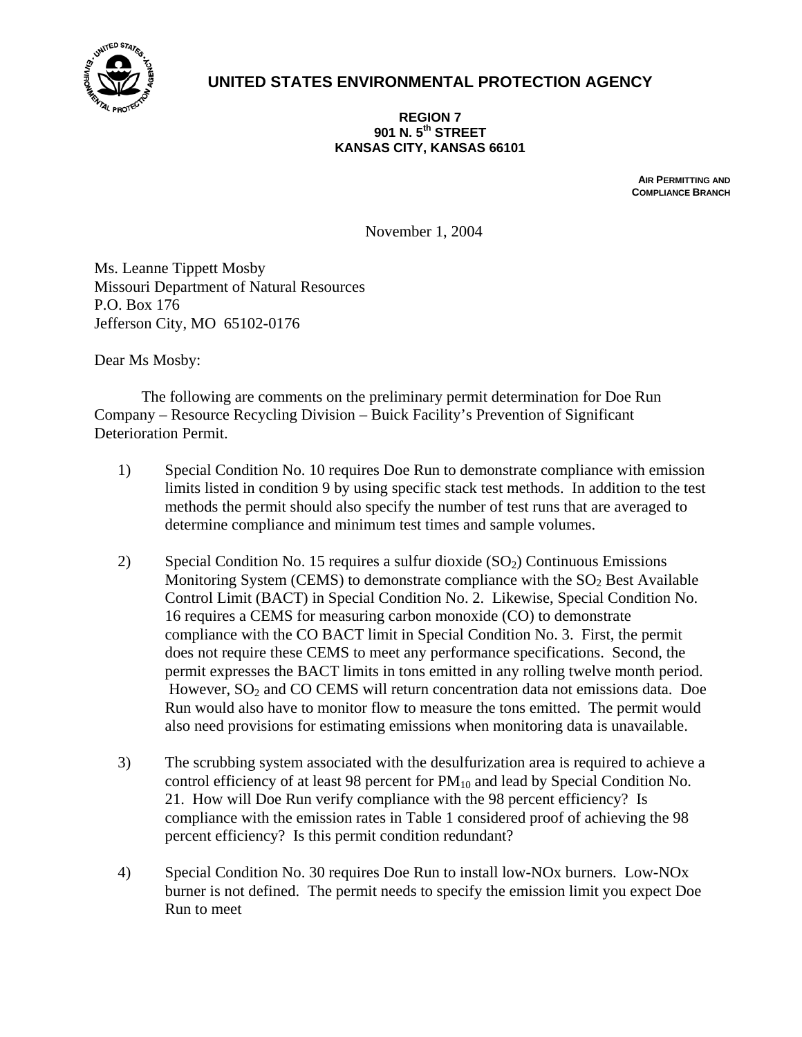

## **UNITED STATES ENVIRONMENTAL PROTECTION AGENCY**

## **REGION 7 901 N. 5th STREET KANSAS CITY, KANSAS 66101**

**AIR PERMITTING AND COMPLIANCE BRANCH**

November 1, 2004

Ms. Leanne Tippett Mosby Missouri Department of Natural Resources P.O. Box 176 Jefferson City, MO 65102-0176

Dear Ms Mosby:

 The following are comments on the preliminary permit determination for Doe Run Company – Resource Recycling Division – Buick Facility's Prevention of Significant Deterioration Permit.

- 1) Special Condition No. 10 requires Doe Run to demonstrate compliance with emission limits listed in condition 9 by using specific stack test methods. In addition to the test methods the permit should also specify the number of test runs that are averaged to determine compliance and minimum test times and sample volumes.
- 2) Special Condition No. 15 requires a sulfur dioxide  $(SO<sub>2</sub>)$  Continuous Emissions Monitoring System (CEMS) to demonstrate compliance with the  $SO<sub>2</sub>$  Best Available Control Limit (BACT) in Special Condition No. 2. Likewise, Special Condition No. 16 requires a CEMS for measuring carbon monoxide (CO) to demonstrate compliance with the CO BACT limit in Special Condition No. 3. First, the permit does not require these CEMS to meet any performance specifications. Second, the permit expresses the BACT limits in tons emitted in any rolling twelve month period. However,  $SO<sub>2</sub>$  and CO CEMS will return concentration data not emissions data. Doe Run would also have to monitor flow to measure the tons emitted. The permit would also need provisions for estimating emissions when monitoring data is unavailable.
- 3) The scrubbing system associated with the desulfurization area is required to achieve a control efficiency of at least 98 percent for  $PM_{10}$  and lead by Special Condition No. 21. How will Doe Run verify compliance with the 98 percent efficiency? Is compliance with the emission rates in Table 1 considered proof of achieving the 98 percent efficiency? Is this permit condition redundant?
- 4) Special Condition No. 30 requires Doe Run to install low-NOx burners. Low-NOx burner is not defined. The permit needs to specify the emission limit you expect Doe Run to meet